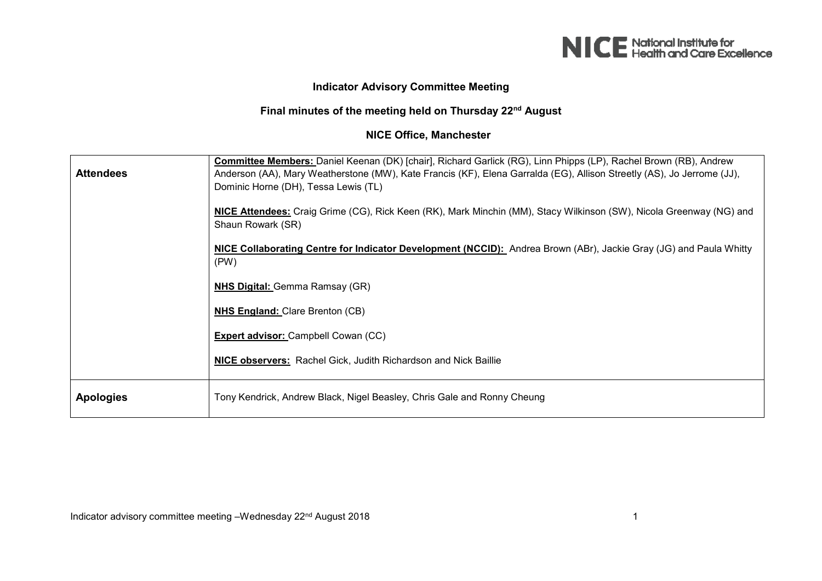

## **Indicator Advisory Committee Meeting**

## **Final minutes of the meeting held on Thursday 22nd August**

## **NICE Office, Manchester**

| <b>Attendees</b> | <b>Committee Members:</b> Daniel Keenan (DK) [chair], Richard Garlick (RG), Linn Phipps (LP), Rachel Brown (RB), Andrew<br>Anderson (AA), Mary Weatherstone (MW), Kate Francis (KF), Elena Garralda (EG), Allison Streetly (AS), Jo Jerrome (JJ),<br>Dominic Horne (DH), Tessa Lewis (TL) |
|------------------|-------------------------------------------------------------------------------------------------------------------------------------------------------------------------------------------------------------------------------------------------------------------------------------------|
|                  | NICE Attendees: Craig Grime (CG), Rick Keen (RK), Mark Minchin (MM), Stacy Wilkinson (SW), Nicola Greenway (NG) and<br>Shaun Rowark (SR)                                                                                                                                                  |
|                  | <b>NICE Collaborating Centre for Indicator Development (NCCID):</b> Andrea Brown (ABr), Jackie Gray (JG) and Paula Whitty<br>(PW)                                                                                                                                                         |
|                  | <b>NHS Digital:</b> Gemma Ramsay (GR)                                                                                                                                                                                                                                                     |
|                  | <b>NHS England: Clare Brenton (CB)</b>                                                                                                                                                                                                                                                    |
|                  | Expert advisor: Campbell Cowan (CC)                                                                                                                                                                                                                                                       |
|                  | NICE observers: Rachel Gick, Judith Richardson and Nick Baillie                                                                                                                                                                                                                           |
| <b>Apologies</b> | Tony Kendrick, Andrew Black, Nigel Beasley, Chris Gale and Ronny Cheung                                                                                                                                                                                                                   |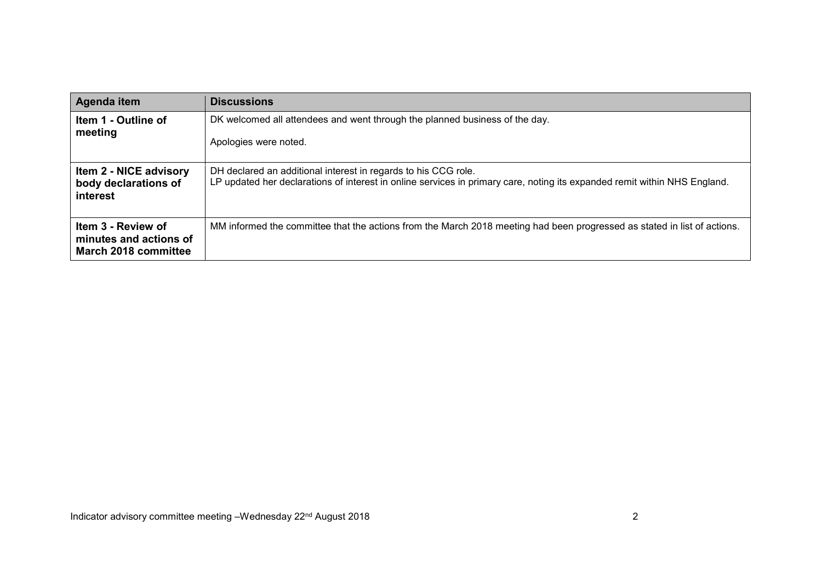| Agenda item                                                                 | <b>Discussions</b>                                                                                                                                                                          |
|-----------------------------------------------------------------------------|---------------------------------------------------------------------------------------------------------------------------------------------------------------------------------------------|
| Item 1 - Outline of<br>meeting                                              | DK welcomed all attendees and went through the planned business of the day.<br>Apologies were noted.                                                                                        |
| <b>Item 2 - NICE advisory</b><br>body declarations of<br>interest           | DH declared an additional interest in regards to his CCG role.<br>LP updated her declarations of interest in online services in primary care, noting its expanded remit within NHS England. |
| Item 3 - Review of<br>minutes and actions of<br><b>March 2018 committee</b> | MM informed the committee that the actions from the March 2018 meeting had been progressed as stated in list of actions.                                                                    |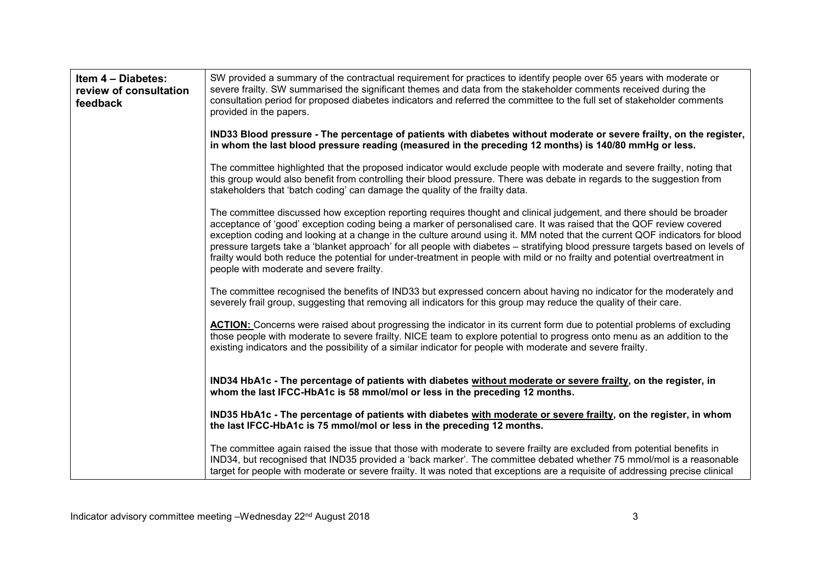| Item 4 - Diabetes:<br>review of consultation<br>feedback | SW provided a summary of the contractual requirement for practices to identify people over 65 years with moderate or<br>severe frailty. SW summarised the significant themes and data from the stakeholder comments received during the<br>consultation period for proposed diabetes indicators and referred the committee to the full set of stakeholder comments<br>provided in the papers.                                                                                                                                                                                                                                                                                              |
|----------------------------------------------------------|--------------------------------------------------------------------------------------------------------------------------------------------------------------------------------------------------------------------------------------------------------------------------------------------------------------------------------------------------------------------------------------------------------------------------------------------------------------------------------------------------------------------------------------------------------------------------------------------------------------------------------------------------------------------------------------------|
|                                                          | IND33 Blood pressure - The percentage of patients with diabetes without moderate or severe frailty, on the register,<br>in whom the last blood pressure reading (measured in the preceding 12 months) is 140/80 mmHg or less.                                                                                                                                                                                                                                                                                                                                                                                                                                                              |
|                                                          | The committee highlighted that the proposed indicator would exclude people with moderate and severe frailty, noting that<br>this group would also benefit from controlling their blood pressure. There was debate in regards to the suggestion from<br>stakeholders that 'batch coding' can damage the quality of the frailty data.                                                                                                                                                                                                                                                                                                                                                        |
|                                                          | The committee discussed how exception reporting requires thought and clinical judgement, and there should be broader<br>acceptance of 'good' exception coding being a marker of personalised care. It was raised that the QOF review covered<br>exception coding and looking at a change in the culture around using it. MM noted that the current QOF indicators for blood<br>pressure targets take a 'blanket approach' for all people with diabetes – stratifying blood pressure targets based on levels of<br>frailty would both reduce the potential for under-treatment in people with mild or no frailty and potential overtreatment in<br>people with moderate and severe frailty. |
|                                                          | The committee recognised the benefits of IND33 but expressed concern about having no indicator for the moderately and<br>severely frail group, suggesting that removing all indicators for this group may reduce the quality of their care.                                                                                                                                                                                                                                                                                                                                                                                                                                                |
|                                                          | ACTION: Concerns were raised about progressing the indicator in its current form due to potential problems of excluding<br>those people with moderate to severe frailty. NICE team to explore potential to progress onto menu as an addition to the<br>existing indicators and the possibility of a similar indicator for people with moderate and severe frailty.                                                                                                                                                                                                                                                                                                                         |
|                                                          | IND34 HbA1c - The percentage of patients with diabetes without moderate or severe frailty, on the register, in<br>whom the last IFCC-HbA1c is 58 mmol/mol or less in the preceding 12 months.                                                                                                                                                                                                                                                                                                                                                                                                                                                                                              |
|                                                          | IND35 HbA1c - The percentage of patients with diabetes with moderate or severe frailty, on the register, in whom<br>the last IFCC-HbA1c is 75 mmol/mol or less in the preceding 12 months.                                                                                                                                                                                                                                                                                                                                                                                                                                                                                                 |
|                                                          | The committee again raised the issue that those with moderate to severe frailty are excluded from potential benefits in<br>IND34, but recognised that IND35 provided a 'back marker'. The committee debated whether 75 mmol/mol is a reasonable<br>target for people with moderate or severe frailty. It was noted that exceptions are a requisite of addressing precise clinical                                                                                                                                                                                                                                                                                                          |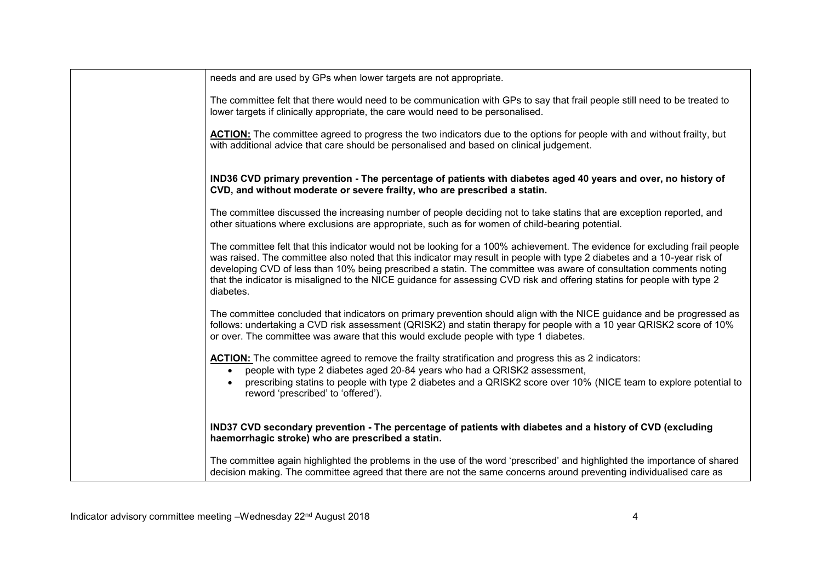| needs and are used by GPs when lower targets are not appropriate.                                                                                                                                                                                                                                                                                                                                                                                                                                                      |
|------------------------------------------------------------------------------------------------------------------------------------------------------------------------------------------------------------------------------------------------------------------------------------------------------------------------------------------------------------------------------------------------------------------------------------------------------------------------------------------------------------------------|
| The committee felt that there would need to be communication with GPs to say that frail people still need to be treated to<br>lower targets if clinically appropriate, the care would need to be personalised.                                                                                                                                                                                                                                                                                                         |
| ACTION: The committee agreed to progress the two indicators due to the options for people with and without frailty, but<br>with additional advice that care should be personalised and based on clinical judgement.                                                                                                                                                                                                                                                                                                    |
| IND36 CVD primary prevention - The percentage of patients with diabetes aged 40 years and over, no history of<br>CVD, and without moderate or severe frailty, who are prescribed a statin.                                                                                                                                                                                                                                                                                                                             |
| The committee discussed the increasing number of people deciding not to take statins that are exception reported, and<br>other situations where exclusions are appropriate, such as for women of child-bearing potential.                                                                                                                                                                                                                                                                                              |
| The committee felt that this indicator would not be looking for a 100% achievement. The evidence for excluding frail people<br>was raised. The committee also noted that this indicator may result in people with type 2 diabetes and a 10-year risk of<br>developing CVD of less than 10% being prescribed a statin. The committee was aware of consultation comments noting<br>that the indicator is misaligned to the NICE guidance for assessing CVD risk and offering statins for people with type 2<br>diabetes. |
| The committee concluded that indicators on primary prevention should align with the NICE guidance and be progressed as<br>follows: undertaking a CVD risk assessment (QRISK2) and statin therapy for people with a 10 year QRISK2 score of 10%<br>or over. The committee was aware that this would exclude people with type 1 diabetes.                                                                                                                                                                                |
| <b>ACTION:</b> The committee agreed to remove the frailty stratification and progress this as 2 indicators:<br>people with type 2 diabetes aged 20-84 years who had a QRISK2 assessment,<br>$\bullet$<br>prescribing statins to people with type 2 diabetes and a QRISK2 score over 10% (NICE team to explore potential to<br>reword 'prescribed' to 'offered').                                                                                                                                                       |
| IND37 CVD secondary prevention - The percentage of patients with diabetes and a history of CVD (excluding<br>haemorrhagic stroke) who are prescribed a statin.                                                                                                                                                                                                                                                                                                                                                         |
| The committee again highlighted the problems in the use of the word 'prescribed' and highlighted the importance of shared<br>decision making. The committee agreed that there are not the same concerns around preventing individualised care as                                                                                                                                                                                                                                                                       |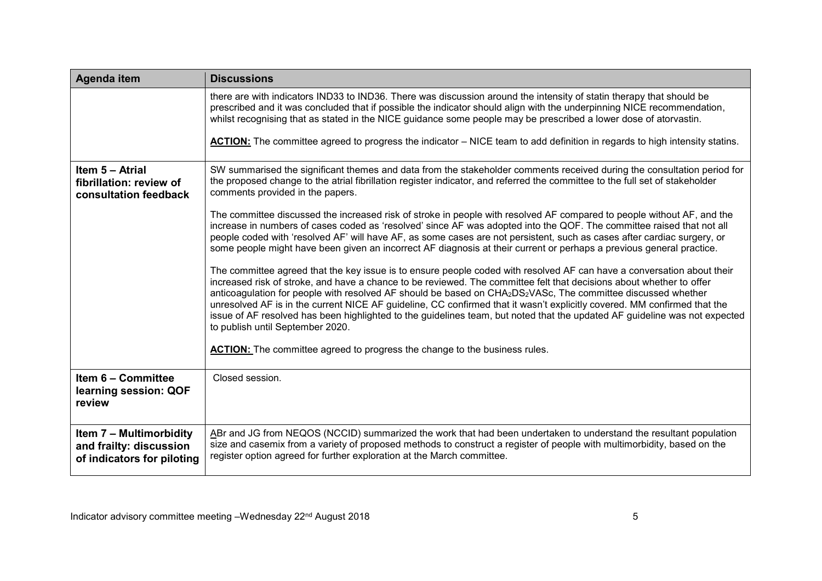| Agenda item                                                                             | <b>Discussions</b>                                                                                                                                                                                                                                                                                                                                                                                                                                                                                                                                                                                                                                                                    |
|-----------------------------------------------------------------------------------------|---------------------------------------------------------------------------------------------------------------------------------------------------------------------------------------------------------------------------------------------------------------------------------------------------------------------------------------------------------------------------------------------------------------------------------------------------------------------------------------------------------------------------------------------------------------------------------------------------------------------------------------------------------------------------------------|
|                                                                                         | there are with indicators IND33 to IND36. There was discussion around the intensity of statin therapy that should be<br>prescribed and it was concluded that if possible the indicator should align with the underpinning NICE recommendation,<br>whilst recognising that as stated in the NICE guidance some people may be prescribed a lower dose of atorvastin.<br>ACTION: The committee agreed to progress the indicator – NICE team to add definition in regards to high intensity statins.                                                                                                                                                                                      |
|                                                                                         |                                                                                                                                                                                                                                                                                                                                                                                                                                                                                                                                                                                                                                                                                       |
| Item 5 - Atrial<br>fibrillation: review of<br>consultation feedback                     | SW summarised the significant themes and data from the stakeholder comments received during the consultation period for<br>the proposed change to the atrial fibrillation register indicator, and referred the committee to the full set of stakeholder<br>comments provided in the papers.                                                                                                                                                                                                                                                                                                                                                                                           |
|                                                                                         | The committee discussed the increased risk of stroke in people with resolved AF compared to people without AF, and the<br>increase in numbers of cases coded as 'resolved' since AF was adopted into the QOF. The committee raised that not all<br>people coded with 'resolved AF' will have AF, as some cases are not persistent, such as cases after cardiac surgery, or<br>some people might have been given an incorrect AF diagnosis at their current or perhaps a previous general practice.                                                                                                                                                                                    |
|                                                                                         | The committee agreed that the key issue is to ensure people coded with resolved AF can have a conversation about their<br>increased risk of stroke, and have a chance to be reviewed. The committee felt that decisions about whether to offer<br>anticoagulation for people with resolved AF should be based on CHA <sub>2</sub> DS <sub>2</sub> VASc, The committee discussed whether<br>unresolved AF is in the current NICE AF guideline, CC confirmed that it wasn't explicitly covered. MM confirmed that the<br>issue of AF resolved has been highlighted to the guidelines team, but noted that the updated AF guideline was not expected<br>to publish until September 2020. |
|                                                                                         | <b>ACTION:</b> The committee agreed to progress the change to the business rules.                                                                                                                                                                                                                                                                                                                                                                                                                                                                                                                                                                                                     |
| Item 6 - Committee<br>learning session: QOF<br>review                                   | Closed session.                                                                                                                                                                                                                                                                                                                                                                                                                                                                                                                                                                                                                                                                       |
| <b>Item 7 - Multimorbidity</b><br>and frailty: discussion<br>of indicators for piloting | ABr and JG from NEQOS (NCCID) summarized the work that had been undertaken to understand the resultant population<br>size and casemix from a variety of proposed methods to construct a register of people with multimorbidity, based on the<br>register option agreed for further exploration at the March committee.                                                                                                                                                                                                                                                                                                                                                                |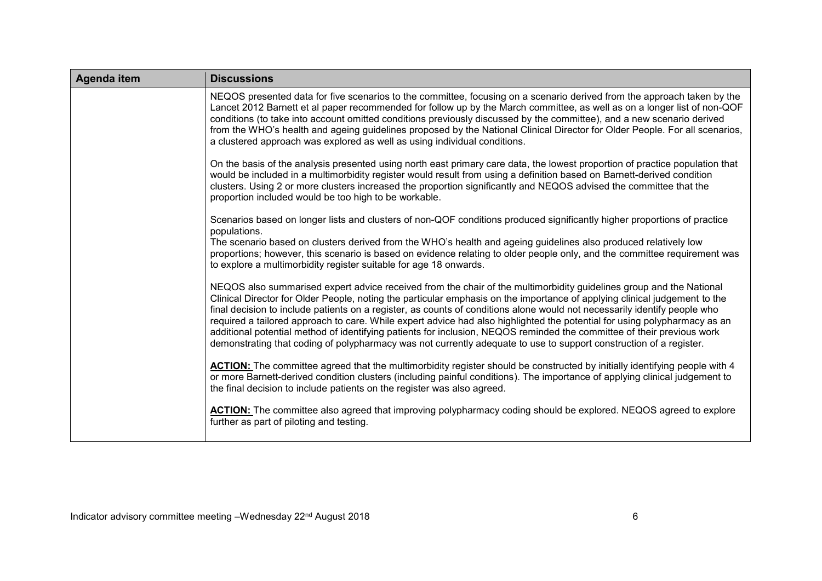| Agenda item | <b>Discussions</b>                                                                                                                                                                                                                                                                                                                                                                                                                                                                                                                                                                                                                                                                                                                                          |
|-------------|-------------------------------------------------------------------------------------------------------------------------------------------------------------------------------------------------------------------------------------------------------------------------------------------------------------------------------------------------------------------------------------------------------------------------------------------------------------------------------------------------------------------------------------------------------------------------------------------------------------------------------------------------------------------------------------------------------------------------------------------------------------|
|             | NEQOS presented data for five scenarios to the committee, focusing on a scenario derived from the approach taken by the<br>Lancet 2012 Barnett et al paper recommended for follow up by the March committee, as well as on a longer list of non-QOF<br>conditions (to take into account omitted conditions previously discussed by the committee), and a new scenario derived<br>from the WHO's health and ageing guidelines proposed by the National Clinical Director for Older People. For all scenarios,<br>a clustered approach was explored as well as using individual conditions.                                                                                                                                                                   |
|             | On the basis of the analysis presented using north east primary care data, the lowest proportion of practice population that<br>would be included in a multimorbidity register would result from using a definition based on Barnett-derived condition<br>clusters. Using 2 or more clusters increased the proportion significantly and NEQOS advised the committee that the<br>proportion included would be too high to be workable.                                                                                                                                                                                                                                                                                                                       |
|             | Scenarios based on longer lists and clusters of non-QOF conditions produced significantly higher proportions of practice<br>populations.                                                                                                                                                                                                                                                                                                                                                                                                                                                                                                                                                                                                                    |
|             | The scenario based on clusters derived from the WHO's health and ageing guidelines also produced relatively low<br>proportions; however, this scenario is based on evidence relating to older people only, and the committee requirement was<br>to explore a multimorbidity register suitable for age 18 onwards.                                                                                                                                                                                                                                                                                                                                                                                                                                           |
|             | NEQOS also summarised expert advice received from the chair of the multimorbidity guidelines group and the National<br>Clinical Director for Older People, noting the particular emphasis on the importance of applying clinical judgement to the<br>final decision to include patients on a register, as counts of conditions alone would not necessarily identify people who<br>required a tailored approach to care. While expert advice had also highlighted the potential for using polypharmacy as an<br>additional potential method of identifying patients for inclusion, NEQOS reminded the committee of their previous work<br>demonstrating that coding of polypharmacy was not currently adequate to use to support construction of a register. |
|             | ACTION: The committee agreed that the multimorbidity register should be constructed by initially identifying people with 4<br>or more Barnett-derived condition clusters (including painful conditions). The importance of applying clinical judgement to<br>the final decision to include patients on the register was also agreed.                                                                                                                                                                                                                                                                                                                                                                                                                        |
|             | ACTION: The committee also agreed that improving polypharmacy coding should be explored. NEQOS agreed to explore<br>further as part of piloting and testing.                                                                                                                                                                                                                                                                                                                                                                                                                                                                                                                                                                                                |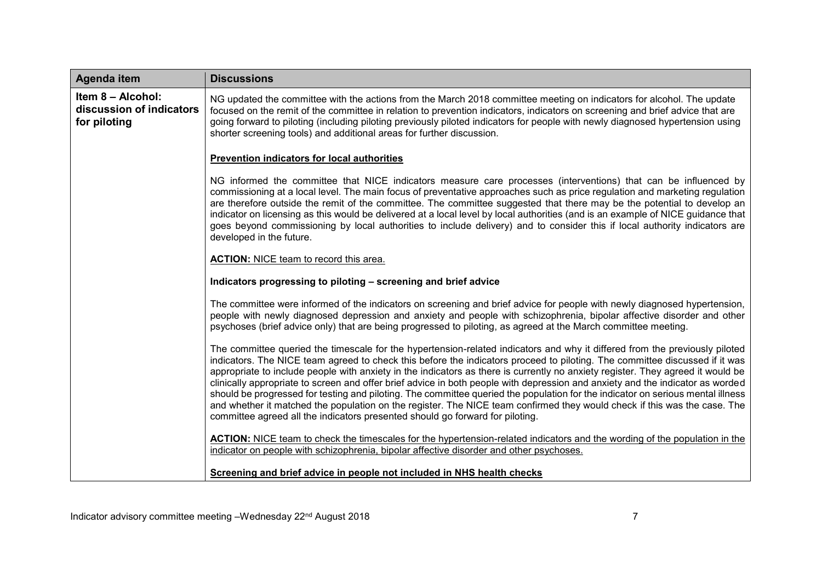| Agenda item                                                   | <b>Discussions</b>                                                                                                                                                                                                                                                                                                                                                                                                                                                                                                                                                                                                                                                                                                                                                                                                                                                               |
|---------------------------------------------------------------|----------------------------------------------------------------------------------------------------------------------------------------------------------------------------------------------------------------------------------------------------------------------------------------------------------------------------------------------------------------------------------------------------------------------------------------------------------------------------------------------------------------------------------------------------------------------------------------------------------------------------------------------------------------------------------------------------------------------------------------------------------------------------------------------------------------------------------------------------------------------------------|
| Item 8 - Alcohol:<br>discussion of indicators<br>for piloting | NG updated the committee with the actions from the March 2018 committee meeting on indicators for alcohol. The update<br>focused on the remit of the committee in relation to prevention indicators, indicators on screening and brief advice that are<br>going forward to piloting (including piloting previously piloted indicators for people with newly diagnosed hypertension using<br>shorter screening tools) and additional areas for further discussion.                                                                                                                                                                                                                                                                                                                                                                                                                |
|                                                               | Prevention indicators for local authorities                                                                                                                                                                                                                                                                                                                                                                                                                                                                                                                                                                                                                                                                                                                                                                                                                                      |
|                                                               | NG informed the committee that NICE indicators measure care processes (interventions) that can be influenced by<br>commissioning at a local level. The main focus of preventative approaches such as price regulation and marketing regulation<br>are therefore outside the remit of the committee. The committee suggested that there may be the potential to develop an<br>indicator on licensing as this would be delivered at a local level by local authorities (and is an example of NICE guidance that<br>goes beyond commissioning by local authorities to include delivery) and to consider this if local authority indicators are<br>developed in the future.                                                                                                                                                                                                          |
|                                                               | <b>ACTION:</b> NICE team to record this area.                                                                                                                                                                                                                                                                                                                                                                                                                                                                                                                                                                                                                                                                                                                                                                                                                                    |
|                                                               | Indicators progressing to piloting - screening and brief advice                                                                                                                                                                                                                                                                                                                                                                                                                                                                                                                                                                                                                                                                                                                                                                                                                  |
|                                                               | The committee were informed of the indicators on screening and brief advice for people with newly diagnosed hypertension,<br>people with newly diagnosed depression and anxiety and people with schizophrenia, bipolar affective disorder and other<br>psychoses (brief advice only) that are being progressed to piloting, as agreed at the March committee meeting.                                                                                                                                                                                                                                                                                                                                                                                                                                                                                                            |
|                                                               | The committee queried the timescale for the hypertension-related indicators and why it differed from the previously piloted<br>indicators. The NICE team agreed to check this before the indicators proceed to piloting. The committee discussed if it was<br>appropriate to include people with anxiety in the indicators as there is currently no anxiety register. They agreed it would be<br>clinically appropriate to screen and offer brief advice in both people with depression and anxiety and the indicator as worded<br>should be progressed for testing and piloting. The committee queried the population for the indicator on serious mental illness<br>and whether it matched the population on the register. The NICE team confirmed they would check if this was the case. The<br>committee agreed all the indicators presented should go forward for piloting. |
|                                                               | <b>ACTION:</b> NICE team to check the timescales for the hypertension-related indicators and the wording of the population in the<br>indicator on people with schizophrenia, bipolar affective disorder and other psychoses.                                                                                                                                                                                                                                                                                                                                                                                                                                                                                                                                                                                                                                                     |
|                                                               | Screening and brief advice in people not included in NHS health checks                                                                                                                                                                                                                                                                                                                                                                                                                                                                                                                                                                                                                                                                                                                                                                                                           |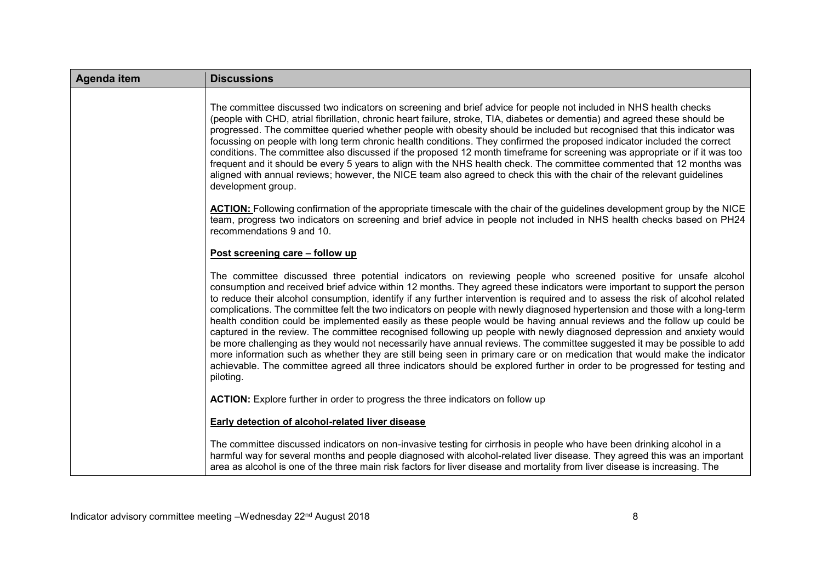| Agenda item | <b>Discussions</b>                                                                                                                                                                                                                                                                                                                                                                                                                                                                                                                                                                                                                                                                                                                                                                                                                                                                                                                                                                                                                                                                                                                                                     |
|-------------|------------------------------------------------------------------------------------------------------------------------------------------------------------------------------------------------------------------------------------------------------------------------------------------------------------------------------------------------------------------------------------------------------------------------------------------------------------------------------------------------------------------------------------------------------------------------------------------------------------------------------------------------------------------------------------------------------------------------------------------------------------------------------------------------------------------------------------------------------------------------------------------------------------------------------------------------------------------------------------------------------------------------------------------------------------------------------------------------------------------------------------------------------------------------|
|             | The committee discussed two indicators on screening and brief advice for people not included in NHS health checks<br>(people with CHD, atrial fibrillation, chronic heart failure, stroke, TIA, diabetes or dementia) and agreed these should be<br>progressed. The committee queried whether people with obesity should be included but recognised that this indicator was<br>focussing on people with long term chronic health conditions. They confirmed the proposed indicator included the correct<br>conditions. The committee also discussed if the proposed 12 month timeframe for screening was appropriate or if it was too<br>frequent and it should be every 5 years to align with the NHS health check. The committee commented that 12 months was<br>aligned with annual reviews; however, the NICE team also agreed to check this with the chair of the relevant guidelines<br>development group.                                                                                                                                                                                                                                                       |
|             | ACTION: Following confirmation of the appropriate timescale with the chair of the guidelines development group by the NICE<br>team, progress two indicators on screening and brief advice in people not included in NHS health checks based on PH24<br>recommendations 9 and 10.                                                                                                                                                                                                                                                                                                                                                                                                                                                                                                                                                                                                                                                                                                                                                                                                                                                                                       |
|             | Post screening care - follow up                                                                                                                                                                                                                                                                                                                                                                                                                                                                                                                                                                                                                                                                                                                                                                                                                                                                                                                                                                                                                                                                                                                                        |
|             | The committee discussed three potential indicators on reviewing people who screened positive for unsafe alcohol<br>consumption and received brief advice within 12 months. They agreed these indicators were important to support the person<br>to reduce their alcohol consumption, identify if any further intervention is required and to assess the risk of alcohol related<br>complications. The committee felt the two indicators on people with newly diagnosed hypertension and those with a long-term<br>health condition could be implemented easily as these people would be having annual reviews and the follow up could be<br>captured in the review. The committee recognised following up people with newly diagnosed depression and anxiety would<br>be more challenging as they would not necessarily have annual reviews. The committee suggested it may be possible to add<br>more information such as whether they are still being seen in primary care or on medication that would make the indicator<br>achievable. The committee agreed all three indicators should be explored further in order to be progressed for testing and<br>piloting. |
|             | ACTION: Explore further in order to progress the three indicators on follow up                                                                                                                                                                                                                                                                                                                                                                                                                                                                                                                                                                                                                                                                                                                                                                                                                                                                                                                                                                                                                                                                                         |
|             | <b>Early detection of alcohol-related liver disease</b>                                                                                                                                                                                                                                                                                                                                                                                                                                                                                                                                                                                                                                                                                                                                                                                                                                                                                                                                                                                                                                                                                                                |
|             | The committee discussed indicators on non-invasive testing for cirrhosis in people who have been drinking alcohol in a<br>harmful way for several months and people diagnosed with alcohol-related liver disease. They agreed this was an important<br>area as alcohol is one of the three main risk factors for liver disease and mortality from liver disease is increasing. The                                                                                                                                                                                                                                                                                                                                                                                                                                                                                                                                                                                                                                                                                                                                                                                     |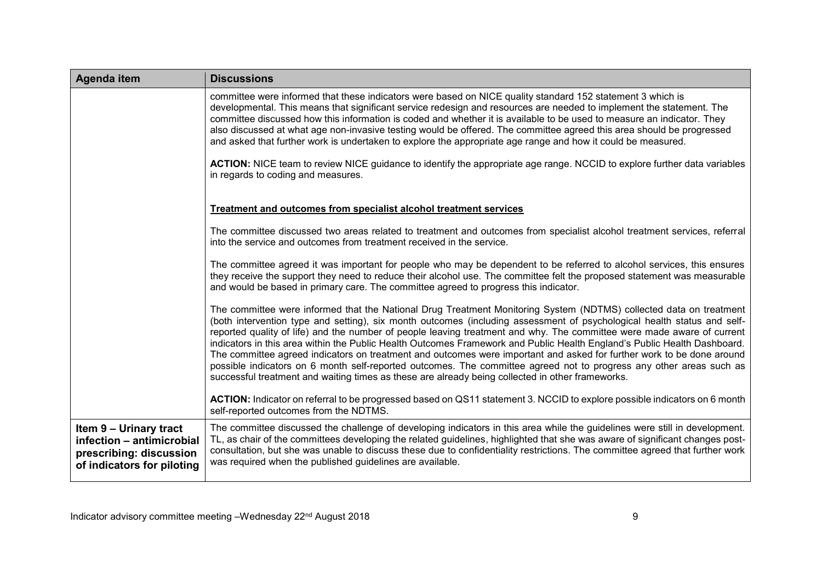| Agenda item                                                                                                  | <b>Discussions</b>                                                                                                                                                                                                                                                                                                                                                                                                                                                                                                                                                                                                                                                                                                                                                                                                                                      |
|--------------------------------------------------------------------------------------------------------------|---------------------------------------------------------------------------------------------------------------------------------------------------------------------------------------------------------------------------------------------------------------------------------------------------------------------------------------------------------------------------------------------------------------------------------------------------------------------------------------------------------------------------------------------------------------------------------------------------------------------------------------------------------------------------------------------------------------------------------------------------------------------------------------------------------------------------------------------------------|
|                                                                                                              | committee were informed that these indicators were based on NICE quality standard 152 statement 3 which is<br>developmental. This means that significant service redesign and resources are needed to implement the statement. The<br>committee discussed how this information is coded and whether it is available to be used to measure an indicator. They<br>also discussed at what age non-invasive testing would be offered. The committee agreed this area should be progressed<br>and asked that further work is undertaken to explore the appropriate age range and how it could be measured.                                                                                                                                                                                                                                                   |
|                                                                                                              | <b>ACTION:</b> NICE team to review NICE guidance to identify the appropriate age range. NCCID to explore further data variables<br>in regards to coding and measures.                                                                                                                                                                                                                                                                                                                                                                                                                                                                                                                                                                                                                                                                                   |
|                                                                                                              | <b>Treatment and outcomes from specialist alcohol treatment services</b>                                                                                                                                                                                                                                                                                                                                                                                                                                                                                                                                                                                                                                                                                                                                                                                |
|                                                                                                              | The committee discussed two areas related to treatment and outcomes from specialist alcohol treatment services, referral<br>into the service and outcomes from treatment received in the service.                                                                                                                                                                                                                                                                                                                                                                                                                                                                                                                                                                                                                                                       |
|                                                                                                              | The committee agreed it was important for people who may be dependent to be referred to alcohol services, this ensures<br>they receive the support they need to reduce their alcohol use. The committee felt the proposed statement was measurable<br>and would be based in primary care. The committee agreed to progress this indicator.                                                                                                                                                                                                                                                                                                                                                                                                                                                                                                              |
|                                                                                                              | The committee were informed that the National Drug Treatment Monitoring System (NDTMS) collected data on treatment<br>(both intervention type and setting), six month outcomes (including assessment of psychological health status and self-<br>reported quality of life) and the number of people leaving treatment and why. The committee were made aware of current<br>indicators in this area within the Public Health Outcomes Framework and Public Health England's Public Health Dashboard.<br>The committee agreed indicators on treatment and outcomes were important and asked for further work to be done around<br>possible indicators on 6 month self-reported outcomes. The committee agreed not to progress any other areas such as<br>successful treatment and waiting times as these are already being collected in other frameworks. |
|                                                                                                              | ACTION: Indicator on referral to be progressed based on QS11 statement 3. NCCID to explore possible indicators on 6 month<br>self-reported outcomes from the NDTMS.                                                                                                                                                                                                                                                                                                                                                                                                                                                                                                                                                                                                                                                                                     |
| Item 9 - Urinary tract<br>infection - antimicrobial<br>prescribing: discussion<br>of indicators for piloting | The committee discussed the challenge of developing indicators in this area while the guidelines were still in development.<br>TL, as chair of the committees developing the related guidelines, highlighted that she was aware of significant changes post-<br>consultation, but she was unable to discuss these due to confidentiality restrictions. The committee agreed that further work<br>was required when the published guidelines are available.                                                                                                                                                                                                                                                                                                                                                                                              |